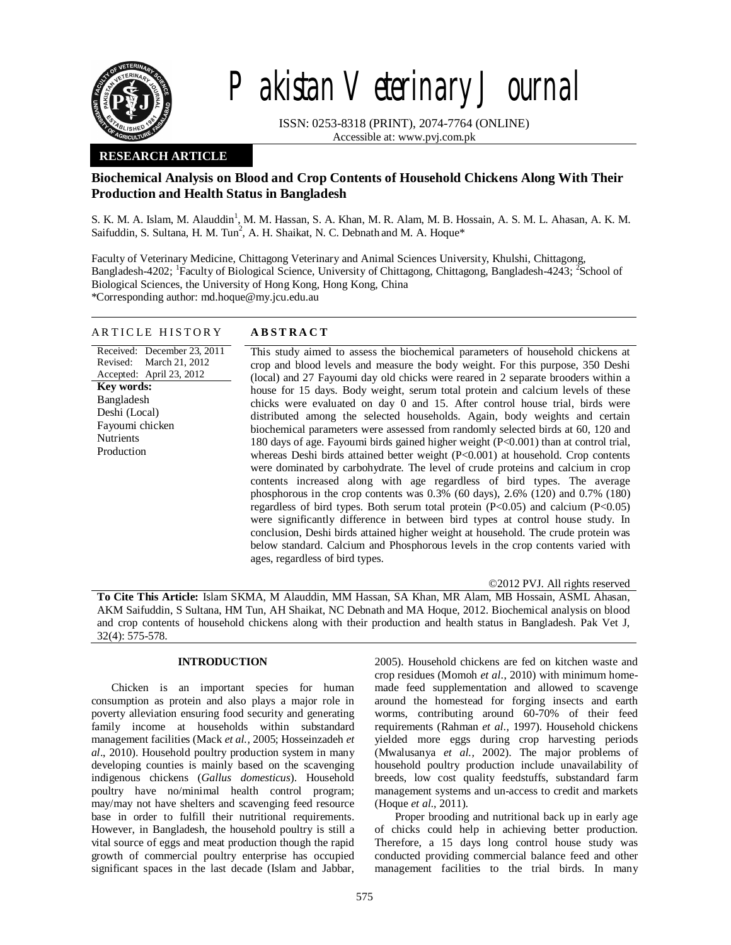

# Pakistan Veterinary Journal

ISSN: 0253-8318 (PRINT), 2074-7764 (ONLINE) Accessible at: www.pvj.com.pk

# **RESEARCH ARTICLE**

# **Biochemical Analysis on Blood and Crop Contents of Household Chickens Along With Their Production and Health Status in Bangladesh**

S. K. M. A. Islam, M. Alauddin<sup>1</sup>, M. M. Hassan, S. A. Khan, M. R. Alam, M. B. Hossain, A. S. M. L. Ahasan, A. K. M. Saifuddin, S. Sultana, H. M. Tun<sup>2</sup>, A. H. Shaikat, N. C. Debnath and M. A. Hoque\*

Faculty of Veterinary Medicine, Chittagong Veterinary and Animal Sciences University, Khulshi, Chittagong, Bangladesh-4202; <sup>1</sup>Faculty of Biological Science, University of Chittagong, Chittagong, Bangladesh-4243; <sup>2</sup>School of Biological Sciences, the University of Hong Kong, Hong Kong, China \*Corresponding author: md.hoque@my.jcu.edu.au

### A R T I C L E H I S T O R Y **A B S T R A C T**

Received: December 23, 2011 Revised: March 21, 2012 Accepted: April 23, 2012 This study aimed to assess the biochemical parameters of household chickens at crop and blood levels and measure the body weight. For this purpose, 350 Deshi (local) and 27 Fayoumi day old chicks were reared in 2 separate brooders within a house for 15 days. Body weight, serum total protein and calcium levels of these chicks were evaluated on day 0 and 15. After control house trial, birds were distributed among the selected households. Again, body weights and certain biochemical parameters were assessed from randomly selected birds at 60, 120 and 180 days of age. Fayoumi birds gained higher weight (P<0.001) than at control trial, whereas Deshi birds attained better weight (P<0.001) at household. Crop contents were dominated by carbohydrate. The level of crude proteins and calcium in crop contents increased along with age regardless of bird types. The average phosphorous in the crop contents was 0.3% (60 days), 2.6% (120) and 0.7% (180) regardless of bird types. Both serum total protein (P<0.05) and calcium (P<0.05) were significantly difference in between bird types at control house study. In conclusion, Deshi birds attained higher weight at household. The crude protein was below standard. Calcium and Phosphorous levels in the crop contents varied with ages, regardless of bird types. **Key words:**  Bangladesh Deshi (Local) Fayoumi chicken Nutrients Production

©2012 PVJ. All rights reserved

**To Cite This Article:** Islam SKMA, M Alauddin, MM Hassan, SA Khan, MR Alam, MB Hossain, ASML Ahasan, AKM Saifuddin, S Sultana, HM Tun, AH Shaikat, NC Debnath and MA Hoque, 2012. Biochemical analysis on blood and crop contents of household chickens along with their production and health status in Bangladesh. Pak Vet J, 32(4): 575-578.

## **INTRODUCTION**

Chicken is an important species for human consumption as protein and also plays a major role in poverty alleviation ensuring food security and generating family income at households within substandard management facilities (Mack *et al.,* 2005; Hosseinzadeh *et al*., 2010). Household poultry production system in many developing counties is mainly based on the scavenging indigenous chickens (*Gallus domesticus*). Household poultry have no/minimal health control program; may/may not have shelters and scavenging feed resource base in order to fulfill their nutritional requirements. However, in Bangladesh, the household poultry is still a vital source of eggs and meat production though the rapid growth of commercial poultry enterprise has occupied significant spaces in the last decade (Islam and Jabbar,

2005). Household chickens are fed on kitchen waste and crop residues (Momoh *et al*., 2010) with minimum homemade feed supplementation and allowed to scavenge around the homestead for forging insects and earth worms, contributing around 60-70% of their feed requirements (Rahman *et al.,* 1997). Household chickens yielded more eggs during crop harvesting periods (Mwalusanya *et al.,* 2002). The major problems of household poultry production include unavailability of breeds, low cost quality feedstuffs, substandard farm management systems and un-access to credit and markets (Hoque *et al.,* 2011).

Proper brooding and nutritional back up in early age of chicks could help in achieving better production. Therefore, a 15 days long control house study was conducted providing commercial balance feed and other management facilities to the trial birds. In many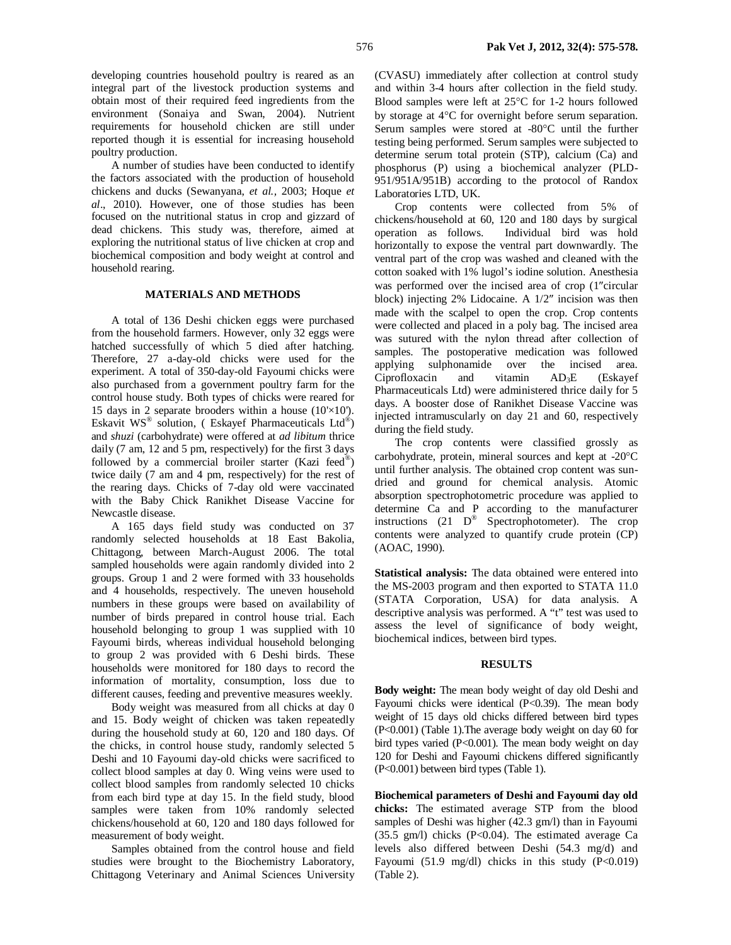developing countries household poultry is reared as an integral part of the livestock production systems and obtain most of their required feed ingredients from the environment (Sonaiya and Swan, 2004). Nutrient requirements for household chicken are still under reported though it is essential for increasing household poultry production.

A number of studies have been conducted to identify the factors associated with the production of household chickens and ducks (Sewanyana, *et al.,* 2003; Hoque *et al*., 2010). However, one of those studies has been focused on the nutritional status in crop and gizzard of dead chickens. This study was, therefore, aimed at exploring the nutritional status of live chicken at crop and biochemical composition and body weight at control and household rearing.

### **MATERIALS AND METHODS**

A total of 136 Deshi chicken eggs were purchased from the household farmers. However, only 32 eggs were hatched successfully of which 5 died after hatching. Therefore, 27 a-day-old chicks were used for the experiment. A total of 350-day-old Fayoumi chicks were also purchased from a government poultry farm for the control house study. Both types of chicks were reared for 15 days in 2 separate brooders within a house  $(10 \times 10')$ . Eskavit WS® solution, (Eskayef Pharmaceuticals Ltd®) and *shuzi* (carbohydrate) were offered at *ad libitum* thrice daily (7 am, 12 and 5 pm, respectively) for the first 3 days followed by a commercial broiler starter (Kazi feed®) twice daily (7 am and 4 pm, respectively) for the rest of the rearing days. Chicks of 7-day old were vaccinated with the Baby Chick Ranikhet Disease Vaccine for Newcastle disease.

A 165 days field study was conducted on 37 randomly selected households at 18 East Bakolia, Chittagong, between March-August 2006. The total sampled households were again randomly divided into 2 groups. Group 1 and 2 were formed with 33 households and 4 households, respectively. The uneven household numbers in these groups were based on availability of number of birds prepared in control house trial. Each household belonging to group 1 was supplied with 10 Fayoumi birds, whereas individual household belonging to group 2 was provided with 6 Deshi birds. These households were monitored for 180 days to record the information of mortality, consumption, loss due to different causes, feeding and preventive measures weekly.

Body weight was measured from all chicks at day 0 and 15. Body weight of chicken was taken repeatedly during the household study at 60, 120 and 180 days. Of the chicks, in control house study, randomly selected 5 Deshi and 10 Fayoumi day-old chicks were sacrificed to collect blood samples at day 0. Wing veins were used to collect blood samples from randomly selected 10 chicks from each bird type at day 15. In the field study, blood samples were taken from 10% randomly selected chickens/household at 60, 120 and 180 days followed for measurement of body weight.

Samples obtained from the control house and field studies were brought to the Biochemistry Laboratory, Chittagong Veterinary and Animal Sciences University

(CVASU) immediately after collection at control study and within 3-4 hours after collection in the field study. Blood samples were left at  $25^{\circ}$ C for 1-2 hours followed by storage at  $4^{\circ}$ C for overnight before serum separation. Serum samples were stored at -80°C until the further testing being performed. Serum samples were subjected to determine serum total protein (STP), calcium (Ca) and phosphorus (P) using a biochemical analyzer (PLD-951/951A/951B) according to the protocol of Randox Laboratories LTD, UK.

Crop contents were collected from 5% of chickens/household at 60, 120 and 180 days by surgical operation as follows. Individual bird was hold horizontally to expose the ventral part downwardly. The ventral part of the crop was washed and cleaned with the cotton soaked with 1% lugol's iodine solution. Anesthesia was performed over the incised area of crop (1"circular block) injecting  $2\%$  Lidocaine. A  $1/2"$  incision was then made with the scalpel to open the crop. Crop contents were collected and placed in a poly bag. The incised area was sutured with the nylon thread after collection of samples. The postoperative medication was followed applying sulphonamide over the incised area. Ciprofloxacin and vitamin  $AD_3E$  (Eskayef Pharmaceuticals Ltd) were administered thrice daily for 5 days. A booster dose of Ranikhet Disease Vaccine was injected intramuscularly on day 21 and 60, respectively during the field study.

The crop contents were classified grossly as carbohydrate, protein, mineral sources and kept at  $-20^{\circ}$ C until further analysis. The obtained crop content was sundried and ground for chemical analysis. Atomic absorption spectrophotometric procedure was applied to determine Ca and P according to the manufacturer instructions  $(21 \tD^{\circledast}$  Spectrophotometer). The crop contents were analyzed to quantify crude protein (CP) (AOAC, 1990).

**Statistical analysis:** The data obtained were entered into the MS-2003 program and then exported to STATA 11.0 (STATA Corporation, USA) for data analysis. A descriptive analysis was performed. A "t" test was used to assess the level of significance of body weight, biochemical indices, between bird types.

#### **RESULTS**

**Body weight:** The mean body weight of day old Deshi and Fayoumi chicks were identical (P<0.39). The mean body weight of 15 days old chicks differed between bird types (P<0.001) (Table 1).The average body weight on day 60 for bird types varied (P<0.001). The mean body weight on day 120 for Deshi and Fayoumi chickens differed significantly (P<0.001) between bird types (Table 1).

**Biochemical parameters of Deshi and Fayoumi day old chicks:** The estimated average STP from the blood samples of Deshi was higher (42.3 gm/l) than in Fayoumi  $(35.5 \text{ gm/l})$  chicks  $(P< 0.04)$ . The estimated average Ca levels also differed between Deshi (54.3 mg/d) and Fayoumi (51.9 mg/dl) chicks in this study  $(P<0.019)$ (Table 2).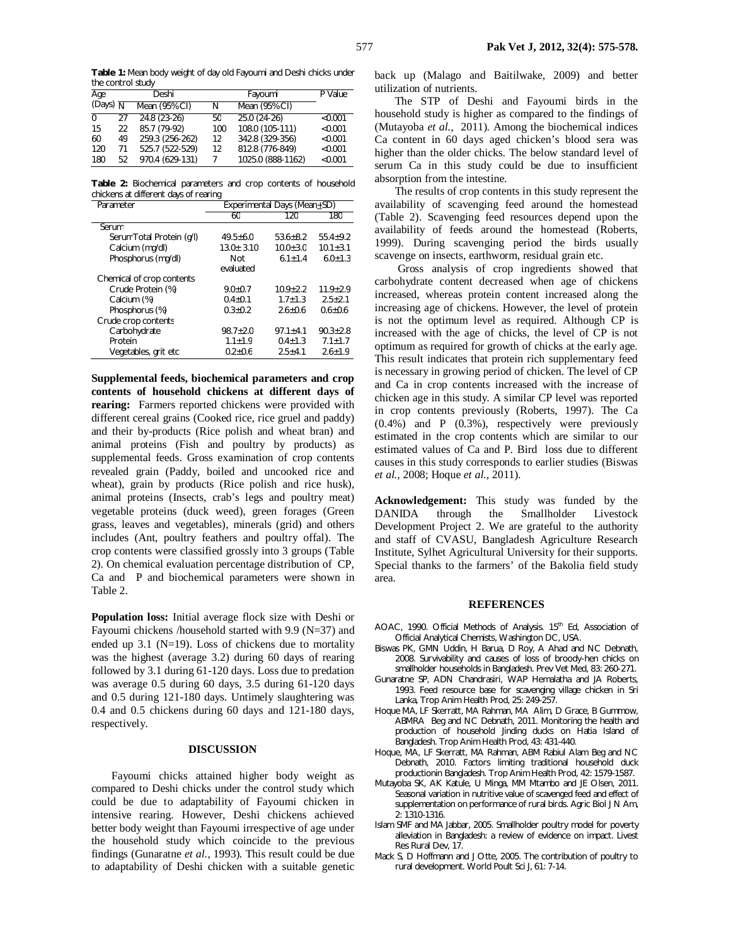**Table 1:** Mean body weight of day old Fayoumi and Deshi chicks under the control study

| Age                   |    | Deshi           |     | Fayoumi           | P Value |
|-----------------------|----|-----------------|-----|-------------------|---------|
| (Days) $\overline{N}$ |    | Mean (95% CI)   | N   | Mean (95% CI)     |         |
| $\Omega$              | 27 | $24.8(23-26)$   | 50  | $25.0(24-26)$     | < 0.001 |
| 15                    | 22 | 85.7 (79-92)    | 100 | 108.0 (105-111)   | < 0.001 |
| 60                    | 49 | 259.3 (256-262) | 12  | 342.8 (329-356)   | < 0.001 |
| 120                   | 71 | 525.7 (522-529) | 12  | 812.8 (776-849)   | < 0.001 |
| 180                   | 52 | 970.4 (629-131) |     | 1025.0 (888-1162) | < 0.001 |

**Table 2:** Biochemical parameters and crop contents of household chickens at different days of rearing

| Parameter                 | Experimental Days (Mean $+SD$ ) |                |                |  |
|---------------------------|---------------------------------|----------------|----------------|--|
|                           | 60                              | 120            | 180            |  |
| Serum                     |                                 |                |                |  |
| Serum Total Protein (q/l) | $49.5 + 6.0$                    | $53.6 + 8.2$   | $55.4 + 9.2$   |  |
| Calcium (mg/dl)           | $13.0 \pm 3.10$                 | $10.0 \pm 3.0$ | $10.1 \pm 3.1$ |  |
| Phosphorus (mg/dl)        | Not                             | $6.1 + 1.4$    | $6.0 + 1.3$    |  |
|                           | evaluated                       |                |                |  |
| Chemical of crop contents |                                 |                |                |  |
| Crude Protein (%)         | $9.0 + 0.7$                     | $10.9 + 2.2$   | $11.9 + 2.9$   |  |
| Calcium (%)               | $0.4 + 0.1$                     | $1.7 + 1.3$    | $2.5 + 2.1$    |  |
| Phosphorus (%)            | $0.3 + 0.2$                     | $2.6 + 0.6$    | $0.6 + 0.6$    |  |
| Crude crop contents       |                                 |                |                |  |
| Carbohydrate              | $98.7 + 2.0$                    | $97.1 + 4.1$   | $90.3 + 2.8$   |  |
| Protein                   | $1.1 \pm 1.9$                   | $0.4 + 1.3$    | $7.1 \pm 1.7$  |  |
| Vegetables, grit etc      | $0.2 \pm 0.6$                   | $2.5 + 4.1$    | $2.6 \pm 1.9$  |  |

**Supplemental feeds, biochemical parameters and crop contents of household chickens at different days of rearing:** Farmers reported chickens were provided with different cereal grains (Cooked rice, rice gruel and paddy) and their by-products (Rice polish and wheat bran) and animal proteins (Fish and poultry by products) as supplemental feeds. Gross examination of crop contents revealed grain (Paddy, boiled and uncooked rice and wheat), grain by products (Rice polish and rice husk), animal proteins (Insects, crab's legs and poultry meat) vegetable proteins (duck weed), green forages (Green grass, leaves and vegetables), minerals (grid) and others includes (Ant, poultry feathers and poultry offal). The crop contents were classified grossly into 3 groups (Table 2). On chemical evaluation percentage distribution of CP, Ca and P and biochemical parameters were shown in Table 2.

**Population loss:** Initial average flock size with Deshi or Fayoumi chickens /household started with 9.9 (N=37) and ended up 3.1 (N=19). Loss of chickens due to mortality was the highest (average 3.2) during 60 days of rearing followed by 3.1 during 61-120 days. Loss due to predation was average 0.5 during 60 days, 3.5 during 61-120 days and 0.5 during 121-180 days. Untimely slaughtering was 0.4 and 0.5 chickens during 60 days and 121-180 days, respectively.

#### **DISCUSSION**

Fayoumi chicks attained higher body weight as compared to Deshi chicks under the control study which could be due to adaptability of Fayoumi chicken in intensive rearing. However, Deshi chickens achieved better body weight than Fayoumi irrespective of age under the household study which coincide to the previous findings (Gunaratne *et al.,* 1993). This result could be due to adaptability of Deshi chicken with a suitable genetic

back up (Malago and Baitilwake, 2009) and better utilization of nutrients.

The STP of Deshi and Fayoumi birds in the household study is higher as compared to the findings of (Mutayoba *et al.,* 2011). Among the biochemical indices Ca content in 60 days aged chicken's blood sera was higher than the older chicks. The below standard level of serum Ca in this study could be due to insufficient absorption from the intestine.

The results of crop contents in this study represent the availability of scavenging feed around the homestead (Table 2). Scavenging feed resources depend upon the availability of feeds around the homestead (Roberts, 1999). During scavenging period the birds usually scavenge on insects, earthworm, residual grain etc.

Gross analysis of crop ingredients showed that carbohydrate content decreased when age of chickens increased, whereas protein content increased along the increasing age of chickens. However, the level of protein is not the optimum level as required. Although CP is increased with the age of chicks, the level of CP is not optimum as required for growth of chicks at the early age. This result indicates that protein rich supplementary feed is necessary in growing period of chicken. The level of CP and Ca in crop contents increased with the increase of chicken age in this study. A similar CP level was reported in crop contents previously (Roberts, 1997). The Ca (0.4%) and P (0.3%), respectively were previously estimated in the crop contents which are similar to our estimated values of Ca and P. Bird loss due to different causes in this study corresponds to earlier studies (Biswas *et al.,* 2008; Hoque *et al.,* 2011).

**Acknowledgement:** This study was funded by the DANIDA through the Smallholder Livestock Development Project 2. We are grateful to the authority and staff of CVASU, Bangladesh Agriculture Research Institute, Sylhet Agricultural University for their supports. Special thanks to the farmers' of the Bakolia field study area.

#### **REFERENCES**

- AOAC, 1990. Official Methods of Analysis. 15<sup>th</sup> Ed, Association of Official Analytical Chemists, Washington DC, USA.
- Biswas PK, GMN Uddin, H Barua, D Roy, A Ahad and NC Debnath, 2008. Survivability and causes of loss of broody-hen chicks on smallholder households in Bangladesh. Prev Vet Med, 83: 260-271.
- Gunaratne SP, ADN Chandrasiri, WAP Hemalatha and JA Roberts, 1993. Feed resource base for scavenging village chicken in Sri Lanka, Trop Anim Health Prod, 25: 249-257.
- Hoque MA, LF Skerratt, MA Rahman, MA Alim, D Grace, B Gummow, ABMRA Beg and NC Debnath, 2011. Monitoring the health and production of household Jinding ducks on Hatia Island of Bangladesh. Trop Anim Health Prod, 43: 431-440.
- Hoque, MA, LF Skerratt, MA Rahman, ABM Rabiul Alam Beg and NC Debnath, 2010. Factors limiting traditional household duck productionin Bangladesh. Trop Anim Health Prod, 42: 1579-1587.
- Mutayoba SK, AK Katule, U Minga, MM Mtambo and JE Olsen, 2011. Seasonal variation in nutritive value of scavenged feed and effect of supplementation on performance of rural birds. Agric Biol J N Am, 2: 1310-1316.
- Islam SMF and MA Jabbar, 2005. Smallholder poultry model for poverty alleviation in Bangladesh: a review of evidence on impact. Livest Res Rural Dev, 17.
- Mack S, D Hoffmann and J Otte, 2005. The contribution of poultry to rural development. World Poult Sci J, 61: 7-14.